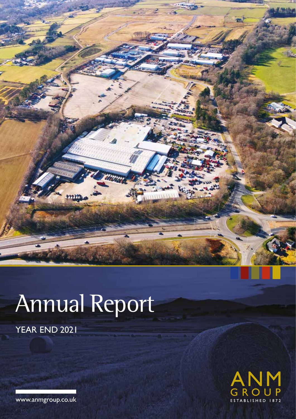

# Annual Report

YEAR END 2021



www.anmgroup.co.uk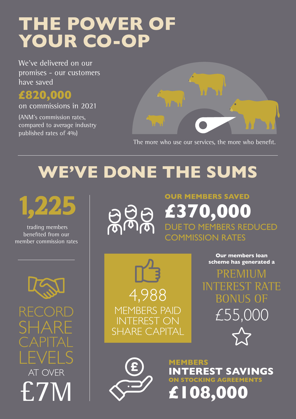# **THE POWER OF YOUR CO-OP**

We've delivered on our promises - our customers have saved

### **£820,000**

on commissions in 2021

(ANM's commission rates, compared to average industry published rates of 4%)



The more who use our services, the more who benefit.

**OUR MEMBERS SAVED** 

**£370,000**

COMMISSION RATES

DUE TO MEMBERS REDUCED

# **WE'VE DONE THE SUMS**

1,225

 trading members benefited from our member commission rates



#### **Our members loan scheme has generated a**

**RECORD** 

SHARE CAPITAL LEVELS **COMEMBERS** AT OVER £7M



PREMIUN INTEREST RATE BONUS OF £55,000



**INTEREST SAVINGS ON STOCKING AGREEMENTS £108,000**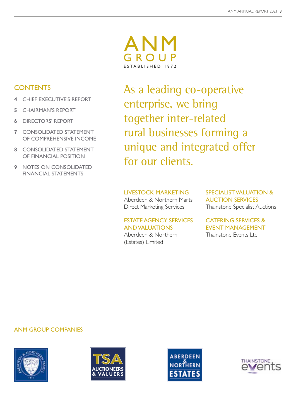#### **CONTENTS**

- **4** CHIEF EXECUTIVE'S REPORT
- **5** CHAIRMAN'S REPORT
- **6** DIRECTORS' REPORT
- **7** CONSOLIDATED STATEMENT OF COMPREHENSIVE INCOME
- **8** CONSOLIDATED STATEMENT OF FINANCIAL POSITION
- **9** NOTES ON CONSOLIDATED FINANCIAL STATEMENTS



As a leading co-operative enterprise, we bring together inter-related rural businesses forming a unique and integrated offer for our clients.

#### LIVESTOCK MARKETING

Aberdeen & Northern Marts Direct Marketing Services

#### ESTATE AGENCY SERVICES AND VALUATIONS

Aberdeen & Northern (Estates) Limited

SPECIALIST VALUATION & AUCTION SERVICES Thainstone Specialist Auctions

#### CATERING SERVICES & EVENT MANAGEMENT Thainstone Events Ltd

#### ANM GROUP COMPANIES







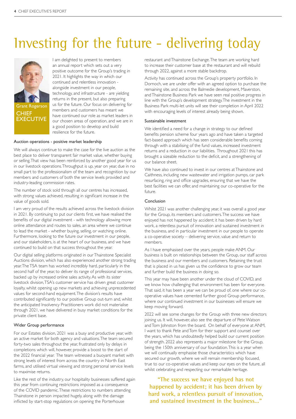## Investing for the future - delivering today



Grant Rogerson **CHIEF XECUTIVE** 

I am delighted to present to members an annual report which sets out a very positive outcome for the Group's trading in 2021. It highlights the way in which our continued and relentless innovation alongside investment in our people, technology, and infrastructure - are yielding returns in the present, but also preparing us for the future. Our focus on delivering for members and customers has meant we have continued our role as market leaders in our chosen areas of operation, and we are in a good position to develop and build resilience for the future.

#### Auction operations - positive market leadership

We will always continue to make the case for the live auction as the best place to deliver transparent fair market value, whether buying or selling. That view has been reinforced by another good year for us in our livestock operations. Throughput is up, year on year, due in no small part to the professionalism of the team and recognition by our members and customers of both the service levels provided and industry-leading commission rates.

The number of stock sold through all our centres has increased, with strong values achieved, resulting in significant increase in the value of goods sold.

I am very proud of the results achieved across the livestock division in 2021. By continuing to put our clients first, we have realised the benefits of our digital investment - with technology allowing more online attendance and routes to sales, an area where we continue to lead the market - whether buying, selling, or watching online. Furthermore, looking to the future our investment in our people, and our stakeholders, is at the heart of our business, and we have continued to build on that success throughout the year.

Our digital selling platforms originated in our Thainstone Specialist Auctions division, which has also experienced another strong trading year. The TSA team has worked incredibly hard, particularly in the second half of the year, to deliver its range of professional services, backed up by increased online sales activity. As with its sister livestock division, TSA's customer service has driven great customer loyalty, whilst opening up new markets and achieving unprecedented values for second-hand equipment. The division's results have contributed significantly to our positive Group out-turn and, whilst the anticipated Insolvency Practitioners work did not materialise through 2021, we have delivered in busy market conditions for the private client base.

#### Wider Group performance

For our Estates division, 2021 was a busy and productive year, with an active market for both agency and valuations. The team secured forty-two sales throughout the year, frustrated only by delays in completions which will, however, provide a boost to the start of the 2022 financial year. The team witnessed a buoyant market with strong levels of interest from across the country in North East farms, and utilised virtual viewing and strong personal service levels to maximise returns.

Like the rest of the industry, our hospitality businesses suffered again this year from continuing restrictions imposed as a consequence of the COVID pandemic. These restrictions to numbers attending Thainstone in person impacted hugely, along with the damage inflicted by start-stop regulations on opening the Porterhouse

restaurant and Thainstone Exchange. The team are working hard to increase their customer base at the restaurant and will rebuild through 2022, against a more stable backdrop.

Activity has continued across the Group's property portfolio. In Dornoch, we are under offer with an agreed option to purchase the remaining site, and across the Balmedie development, Maverston, and Thainstone Business Park we have seen real positive progress in line with the Group's development strategy. The investment in the Business Park multi-let units will see their completion in April 2022 with encouraging levels of interest already being shown.

#### Sustainable investment

We identified a need for a change in strategy to our defined benefits pension scheme four years ago and have taken a targeted fact-based approach which has seen considerable benefits coming through with a stabilising of the fund values, increased investment returns and a reduction in our liabilities. Throughout 2021 this has brought a sizeable reduction to the deficit, and a strengthening of our balance sheet.

We have also continued to invest in our centres at Thainstone and Caithness, including new wastewater and irrigation pumps, car park resurfacing, ring and office upgrades, ensuring that we have the best facilities we can offer, and maintaining our co-operative for the future.

#### Conclusion

Whilst 2021 was another challenging year, it was overall a good year for the Group, its members and customers. The success we have enjoyed has not happened by accident; it has been driven by hard work, a relentless pursuit of innovation and sustained investment in the business, and in particular investment in our people to operate a co-operative society – delivering service, value and return to members.

As I have emphasised over the years, people make ANM. Our business is built on relationships between the Group, our staff across the business and our members and customers. Retaining the trust that is placed in us has given us the confidence to grow our team and further build the business in doing so.

This year may have been another under the cloud of COVID, and we know how challenging that environment has been for everyone. That said, it has been a year we can be proud of, one where our cooperative values have cemented further good Group performance, where our continued investment in our businesses will ensure we keep moving forward.

2022 will see some changes for the Group with three new directors joining us. It will, however, also see the departure of Pete Watson and Tom Johnston from the board. On behalf of everyone at ANM, I want to thank Pete and Tom for their support and counsel over the years, which has undoubtedly helped build our current position of strength. 2022 also represents a major milestone for the Group, being the 150th anniversary of our foundation. This is a year when we will continually emphasise those characteristics which have secured our growth, where we will remain membership focused, true to our co-operative values and keep our eyes on the future, all whilst celebrating and respecting our remarkable heritage.

**"The success we have enjoyed has not happened by accident; it has been driven by hard work, a relentless pursuit of innovation, and sustained investment in the business..."**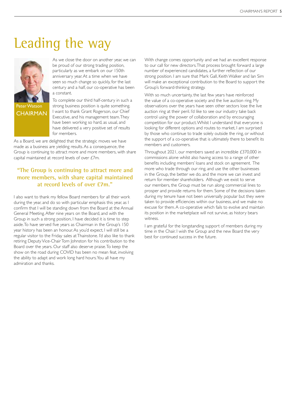### Leading the way



Peter Watson **CHAIRMAN** 

As we close the door on another year, we can be proud of our strong trading position, particularly as we embark on our 150th anniversary year. At a time when we have seen so much change so quickly, for the last century and a half, our co-operative has been a constant.

To complete our third half-century in such a strong business position is quite something. I want to thank Grant Rogerson, our Chief Executive, and his management team. They have been working so hard, as usual, and have delivered a very positive set of results for members.

As a Board, we are delighted that the strategic moves we have made as a business are yielding results. As a consequence, the Group is continuing to attract more and more members, with share capital maintained at record levels of over £7m.

#### **"The Group is continuing to attract more and more members, with share capital maintained at record levels of over £7m."**

I also want to thank my fellow Board members for all their work during the year, and do so with particular emphasis this year, as I confirm that I will be standing down from the Board at the Annual General Meeting. After nine years on the Board, and with the Group in such a strong position, I have decided it is time to step aside. To have served five years as Chairman in the Group's 150 year history has been an honour. As you'd expect, I will still be a regular visitor to the Friday sales at Thainstone. I'd also like to thank retiring Deputy Vice-Chair Tom Johnston for his contribution to the Board over the years. Our staff also deserve praise. To keep the show on the road during COVID has been no mean feat, involving the ability to adapt and work long hard hours. You all have my admiration and thanks.

With change comes opportunity and we had an excellent response to our call for new directors. That process brought forward a large number of experienced candidates, a further reflection of our strong position. I am sure that Mark Gall, Keith Walker and Ian Sim will make an exceptional contribution to the Board to support the Group's forward-thinking strategy.

With so much uncertainty, the last few years have reinforced the value of a co-operative society and the live auction ring. My observations over the years have seen other sectors lose the live auction ring at their peril. I'd like to see our industry take back control using the power of collaboration and by encouraging competition for our product. Whilst I understand that everyone is looking for different options and routes to market, I am surprised by those who continue to trade solely outside the ring, or without the support of a co-operative that is ultimately there to benefit its members and customers.

Throughout 2021, our members saved an incredible £370,000 in commissions alone whilst also having access to a range of other benefits including members' loans and stock on agreement. The more who trade through our ring, and use the other businesses in the Group, the better we do, and the more we can invest and return for member shareholders. Although we exist to serve our members, the Group must be run along commercial lines to prosper and provide returns for them. Some of the decisions taken during my tenure have not been universally popular but they were taken to provide efficiencies within our business, and we make no excuse for them. A co-operative which fails to evolve and maintain its position in the marketplace will not survive, as history bears witness.

I am grateful for the longstanding support of members during my time in the Chair. I wish the Group and the new Board the very best for continued success in the future.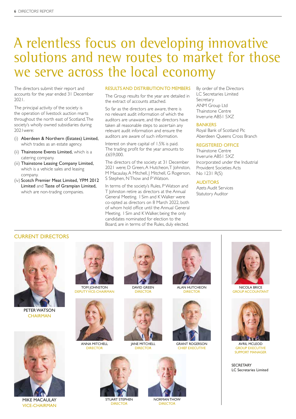### A relentless focus on developing innovative solutions and new routes to market for those we serve across the local economy

The directors submit their report and accounts for the year ended 31 December 2021.

The principal activity of the society is the operation of livestock auction marts throughout the north east of Scotland. The society's wholly owned subsidiaries during 2021were:

- (i) Aberdeen & Northern (Estates) Limited, which trades as an estate agency.
- (ii) Thainstone Events Limited, which is a catering company.
- (iii) Thainstone Leasing Company Limited, which is a vehicle sales and leasing company.
- (iv) Scotch Premier Meat Limited, YPM 2012 Limited and Taste of Grampian Limited, which are non-trading companies.

#### RESULTS AND DISTRIBUTION TO MEMBERS

The Group results for the year are detailed in the extract of accounts attached.

So far as the directors are aware, there is no relevant audit information of which the auditors are unaware, and the directors have taken all reasonable steps to ascertain any relevant audit information and ensure the auditors are aware of such information.

Interest on share capital of 1.5% is paid. The trading profit for the year amounts to £659,000.

The directors of the society at 31 December 2021 were: D Green, A Hutcheon, T Johnston, M Macaulay, A Mitchell, J Mitchell, G Rogerson, S Stephen, N Thow and P Watson.

In terms of the society's Rules, P Watson and T Johnston retire as directors at the Annual General Meeting. I Sim and K Walker were co-opted as directors on 8 March 2022, both of whom hold office until the Annual General Meeting. I Sim and K Walker, being the only candidates nominated for election to the Board, are in terms of the Rules, duly elected.

By order of the Directors LC Secretaries Limited Secretary ANM Group Ltd Thainstone Centre Inverurie AB51 5XZ

#### BANKERS

Royal Bank of Scotland Plc Aberdeen Queens Cross Branch

#### REGISTERED OFFICE

Thainstone Centre Inverurie AB51 5XZ Incorporated under the Industrial Provident Societies Acts No 1231 R(S)

#### AUDITORS

Azets Audit Services Statutory Auditor

#### CURRENT DIRECTORS



PETER WATSON **CHAIRMAN** 



DEPUTY VICE-CHAIRMAN



ANNA MITCHELL **DIRECTOR** 



DAVID GREEN **DIRECTOR** 

JANE MITCHELL **DIRECTOR** 



ALAN HUTCHEON **DIRECTOR** 



GRANT ROGERSON CHIEF EXECUTIVE



NICOLA BRICE GROUP ACCOUNTANT



AVRIL MCLEOD GROUP EXECUTIVE SUPPORT MANAGER

**SECRETARY** LC Secretaries Limited



MIKE MACAULAY VICE-CHAIRMAN



STUART STEPHEN DIRECTOR



NORMAN THOW DIRECTOR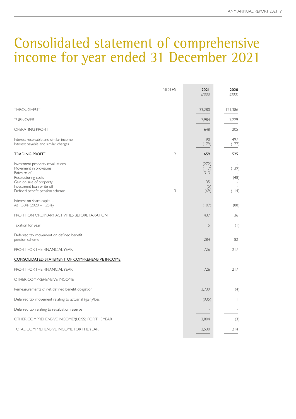### Consolidated statement of comprehensive income for year ended 31 December 2021

|                                                                                                                                                            | <b>NOTES</b>             | 2021<br>£'000                      | 2020<br>£'000 |
|------------------------------------------------------------------------------------------------------------------------------------------------------------|--------------------------|------------------------------------|---------------|
|                                                                                                                                                            |                          |                                    |               |
| <b>THROUGHPUT</b>                                                                                                                                          | $\overline{\phantom{a}}$ | 133,280                            | 121,386       |
| <b>TURNOVER</b>                                                                                                                                            | $\overline{1}$           | 7,984                              | 7,229         |
| OPERATING PROFIT                                                                                                                                           |                          | 648                                | 205           |
| Interest receivable and similar income<br>Interest payable and similar charges                                                                             |                          | 190<br>(179)                       | 497<br>(177)  |
| <b>TRADING PROFIT</b>                                                                                                                                      | $\mathfrak{2}$           | 659                                | 525           |
| Investment property revaluations<br>Movement in provisions<br>Rates relief<br>Restructuring costs<br>Gain on sale of property<br>Investment loan write off |                          | (272)<br>(117)<br>313<br>35<br>(5) | (139)<br>(48) |
| Defined benefit pension scheme                                                                                                                             | 3                        | (69)                               | (114)         |
| Interest on share capital -<br>At 1.50% (2020 - 1.25%)                                                                                                     |                          | (107)                              | (88)          |
| PROFIT ON ORDINARY ACTIVITIES BEFORE TAXATION                                                                                                              |                          | 437                                | 136           |
| Taxation for year                                                                                                                                          |                          | 5                                  | (1)           |
| Deferred tax movement on defined benefit<br>pension scheme                                                                                                 |                          | 284                                | 82            |
| PROFIT FOR THE FINANCIAL YEAR                                                                                                                              |                          | 726                                | 217           |
| <u>CONSOLIDATED STATEMENT OF COMPREHENSIVE INCOME</u>                                                                                                      |                          |                                    |               |
| PROFIT FOR THE FINANCIAL YEAR                                                                                                                              |                          | 726                                | 217           |
| OTHER COMPREHENSIVE INCOME                                                                                                                                 |                          |                                    |               |
| Remeasurements of net defined benefit obligation                                                                                                           |                          | 3.739                              | (4)           |
| Deferred tax movement relating to actuarial (gain)/loss                                                                                                    |                          | (935)                              | I.            |
| Deferred tax relating to revaluation reserve                                                                                                               |                          | $\overline{\phantom{a}}$           |               |
| OTHER COMPREHENSIVE INCOME/(LOSS) FOR THE YEAR                                                                                                             |                          | 2,804                              | (3)           |
| TOTAL COMPREHENSIVE INCOME FOR THE YEAR                                                                                                                    |                          | 3,530                              | 214           |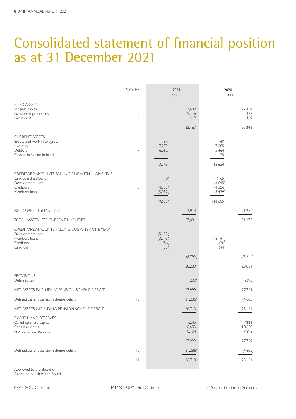### Consolidated statement of financial position as at 31 December 2021

|                                                                                                                          | <b>NOTES</b>                            | 2021<br>£'000                         |                                      | 2020<br>£'000                                        |                                    |
|--------------------------------------------------------------------------------------------------------------------------|-----------------------------------------|---------------------------------------|--------------------------------------|------------------------------------------------------|------------------------------------|
| <b>FIXED ASSETS</b><br>Tangible assets<br>Investment properties<br>Investments                                           | $\overline{4}$<br>5<br>6                |                                       | 27,632<br>5,116<br>419<br>33,167     |                                                      | 27,439<br>5,388<br>419<br>33,246   |
| <b>CURRENT ASSETS</b><br>Stocks and work in progress<br>Livestock<br>Debtors<br>Cash at bank and in hand                 | 7                                       | 64<br>7,279<br>6,062<br> 44<br>13,549 |                                      | 60<br>7.085<br>5,464<br>25<br>12,634                 |                                    |
| CREDITORS: AMOUNTS FALLING DUE WITHIN ONE YEAR<br>Bank overdraft/loans<br>Development loan<br>Creditors<br>Members loans | 8                                       | (10)<br>(4,533)<br>(5,092)<br>(9,635) |                                      | (165)<br>(4,645)<br>(4, 356)<br>(5, 439)<br>(14,605) |                                    |
| NET CURRENT (LIABILITIES)                                                                                                |                                         |                                       | 3,914                                |                                                      | (1,971)                            |
| TOTAL ASSETS LESS CURRENT LIABILITIES                                                                                    |                                         |                                       | 37,081                               |                                                      | 31,275                             |
| CREDITORS: AMOUNTS FALLING DUE AFTER ONE YEAR<br>Development loan<br>Members loans<br>Creditors<br>Bank loan             |                                         | (5, 152)<br>(3,519)<br>(86)<br>(35)   | (8,792)<br>28,289                    | (3, 141)<br>(26)<br>(44)                             | (3,211)<br>28,064                  |
| <b>PROVISIONS</b><br>Deferred tax                                                                                        | 9                                       |                                       | (290)                                |                                                      | (295)                              |
| NET ASSETS EXCLUDING PENSION SCHEME DEFICIT                                                                              |                                         |                                       | 27,999                               |                                                      | 27,769                             |
| Defined benefit pension scheme deficit                                                                                   | $ 0\rangle$                             |                                       | (1,286)                              |                                                      | (4,605)                            |
| NET ASSETS INCLUDING PENSION SCHEME DEFICIT                                                                              |                                         |                                       | 26,713<br>$\overline{\phantom{a}}$   |                                                      | 23,164                             |
| CAPITAL AND RESERVES<br>Called up share capital<br>Capital reserves<br>Profit and loss account                           |                                         |                                       | 7,245<br>10,650<br>10, 104<br>27,999 |                                                      | 7,226<br>10,650<br>9,893<br>27,769 |
| Defined benefit pension scheme deficit                                                                                   | $\vert 0 \rangle$<br>$\ \hspace{1mm}\ $ |                                       | (1,286)<br>26,713                    |                                                      | (4,605)<br>23,164                  |
|                                                                                                                          |                                         |                                       |                                      |                                                      |                                    |

Approved by the Board on Signed on behalf of the Board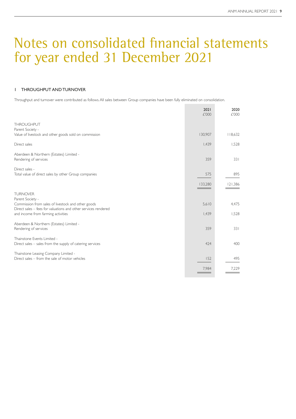#### 1 THROUGHPUT AND TURNOVER

Throughput and turnover were contributed as follows. All sales between Group companies have been fully eliminated on consolidation.

|                                                                                                      | 2021<br>£'000 | 2020<br>£'000 |
|------------------------------------------------------------------------------------------------------|---------------|---------------|
| <b>THROUGHPUT</b>                                                                                    |               |               |
| Parent Society -                                                                                     |               |               |
| Value of livestock and other goods sold on commission                                                | 130,907       | 8,632         |
| Direct sales                                                                                         | 1,439         | 1,528         |
| Aberdeen & Northern (Estates) Limited -                                                              |               |               |
| Rendering of services                                                                                | 359           | 331           |
| Direct sales -                                                                                       |               |               |
| Total value of direct sales by other Group companies                                                 | 575           | 895           |
|                                                                                                      | 133,280       | 121,386       |
| <b>TURNOVER</b>                                                                                      |               |               |
| Parent Society -                                                                                     |               |               |
| Commission from sales of livestock and other goods                                                   | 5,610         | 4,475         |
| Direct sales – fees for valuations and other services rendered<br>and income from farming activities | 1,439         | 1,528         |
|                                                                                                      |               |               |
| Aberdeen & Northern (Estates) Limited -                                                              | 359           | 331           |
| Rendering of services                                                                                |               |               |
| Thainstone Events Limited -                                                                          |               |               |
| Direct sales - sales from the supply of catering services                                            | 424           | 400           |
| Thainstone Leasing Company Limited -                                                                 |               |               |
| Direct sales - from the sale of motor vehicles                                                       | 152           | 495           |
|                                                                                                      | 7,984         | 7,229         |
|                                                                                                      |               |               |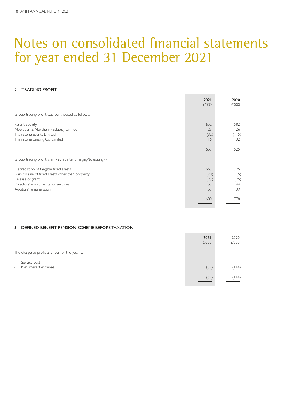#### 2 TRADING PROFIT

|                                                                  | 2021  | 2020  |
|------------------------------------------------------------------|-------|-------|
|                                                                  | £'000 | £'000 |
| Group trading profit was contributed as follows:                 |       |       |
| Parent Society                                                   | 652   | 582   |
| Aberdeen & Northern (Estates) Limited                            | 23    | 26    |
| Thainstone Events Limited                                        | (32)  | (115) |
| Thainstone Leasing Co. Limited                                   | 16    | 32    |
|                                                                  | 659   | 525   |
| Group trading profit is arrived at after charging/(crediting): - |       |       |
| Depreciation of tangible fixed assets                            | 663   | 725   |
| Gain on sale of fixed assets other than property                 | (70)  | (5)   |
| Release of grant                                                 | (25)  | (25)  |
| Directors' emoluments for services                               | 53    | 44    |
| Auditors' remuneration                                           | 59    | 39    |
|                                                                  | 680   | 778   |
|                                                                  |       |       |

#### 3 DEFINED BENEFIT PENSION SCHEME BEFORE TAXATION

|                                                          | 2021<br>£'000                    | 2020<br>£'000                     |
|----------------------------------------------------------|----------------------------------|-----------------------------------|
| The charge to profit and loss for the year is:           |                                  |                                   |
| Service cost<br>$\sim$<br>Net interest expense<br>$\sim$ | $\overline{\phantom{a}}$<br>(69) | $\overline{\phantom{a}}$<br>(114) |
|                                                          | (69)                             | (114)                             |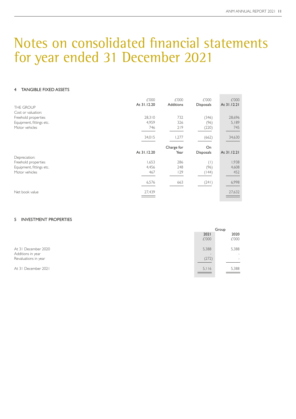#### 4 TANGIBLE FIXED ASSETS

| THE GROUP<br>Cost or valuation:                                   | £'000<br>At 31.12.20   | £'000<br><b>Additions</b> | £'000<br><b>Disposals</b> | £'000<br>At 31.12.21   |
|-------------------------------------------------------------------|------------------------|---------------------------|---------------------------|------------------------|
| Freehold properties<br>Equipment, fittings etc.<br>Motor vehicles | 28,310<br>4,959<br>746 | 732<br>326<br>219         | (346)<br>(96)<br>(220)    | 28,696<br>5,189<br>745 |
|                                                                   | 34,015                 | 1,277                     | (662)                     | 34,630                 |
|                                                                   |                        | Charge for                | On                        |                        |
|                                                                   | At 31.12.20            | Year                      | <b>Disposals</b>          | At 31.12.21            |
| Depreciation:<br>Freehold properties                              | 1,653                  | 286                       | (1)                       | 1,938                  |
| Equipment, fittings etc.                                          | 4,456                  | 248                       | (96)                      | 4,608                  |
| Motor vehicles                                                    | 467                    | 129                       | (144)                     | 452                    |
|                                                                   | 6,576                  | 663                       | (241)                     | 6,998                  |
| Net book value                                                    | 27,439                 |                           |                           | 27,632                 |

#### 5 INVESTMENT PROPERTIES

|                                          | Group                             |                                   |
|------------------------------------------|-----------------------------------|-----------------------------------|
|                                          | 2021<br>£'000                     | 2020<br>£'000                     |
| At 31 December 2020<br>Additions in year | 5,388<br>$\overline{\phantom{a}}$ | 5,388<br>$\overline{\phantom{a}}$ |
| Revaluations in year                     | (272)                             | $\overline{\phantom{a}}$          |
| At 31 December 2021                      | 5.116                             | 5,388                             |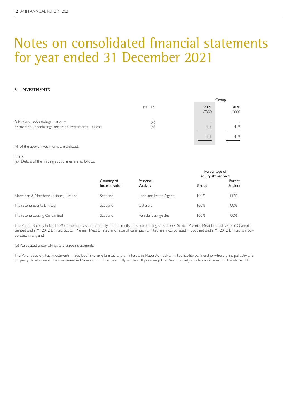#### 6 INVESTMENTS

|                                                                                              |              |                        | Group         |
|----------------------------------------------------------------------------------------------|--------------|------------------------|---------------|
|                                                                                              | <b>NOTES</b> | 2021<br>£'000          | 2020<br>£'000 |
| Subsidiary undertakings – at cost<br>Associated undertakings and trade investments - at cost | (a)<br>(b)   | $\qquad \qquad$<br>419 | 419           |
|                                                                                              |              | 419                    | 419           |

All of the above investments are unlisted.

Note:

(a) Details of the trading subsidiaries are as follows:

|                                       |                             |                        |       | Percentage of<br>equity shares held |  |
|---------------------------------------|-----------------------------|------------------------|-------|-------------------------------------|--|
|                                       | Country of<br>Incorporation | Principal<br>Activity  | Group | Parent<br>Society                   |  |
| Aberdeen & Northern (Estates) Limited | Scotland                    | Land and Estate Agents | 100%  | 100%                                |  |
| Thainstone Events Limited             | Scotland                    | Caterers               | 100%  | 100%                                |  |
| Thainstone Leasing Co. Limited        | Scotland                    | Vehicle leasing/sales  | 100%  | 100%                                |  |

The Parent Society holds 100% of the equity shares, directly and indirectly, in its non-trading subsidiaries, Scotch Premier Meat Limited, Taste of Grampian Limited and YPM 2012 Limited. Scotch Premier Meat Limited and Taste of Grampian Limited are incorporated in Scotland and YPM 2012 Limited is incorporated in England.

(b) Associated undertakings and trade investments: -

The Parent Society has investments in Scotbeef Inverurie Limited and an interest in Maverston LLP, a limited liability partnership, whose principal activity is property development. The investment in Maverston LLP has been fully written off previously. The Parent Society also has an interest in Thainstone LLP.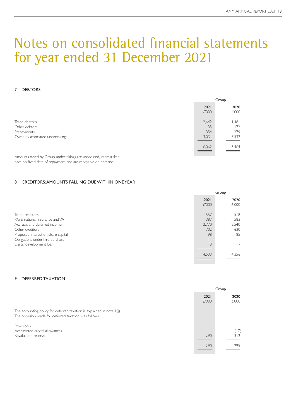#### 7 DEBTORS

|       | Group |
|-------|-------|
| 2021  | 2020  |
|       | £'000 |
| 2,642 | .481  |
| 35    | 172   |
| 354   | 279   |
| 3,031 | 3,532 |
| 6,062 | 5,464 |
|       | £'000 |

Amounts owed by Group undertakings are unsecured, interest free, have no fixed date of repayment and are repayable on demand.

#### 8 CREDITORS: AMOUNTS FALLING DUE WITHIN ONE YEAR

|                                    | Group         |               |
|------------------------------------|---------------|---------------|
|                                    | 2021<br>£'000 | 2020<br>£'000 |
| Trade creditors                    | 557           | 518           |
| PAYE, national insurance and VAT   | 387           | 583           |
| Accruals and deferred income       | 2,770         | 2,540         |
| Other creditors                    | 702           | 630           |
| Proposed interest on share capital | 98            | 85            |
| Obligations under hire purchase    |               |               |
| Digital development loan           | 8             |               |
|                                    | 4,533         | 4,356         |

#### 9 DEFERRED TAXATION

|                                                                                                                                    | Group         |               |
|------------------------------------------------------------------------------------------------------------------------------------|---------------|---------------|
|                                                                                                                                    | 2021<br>£'000 | 2020<br>£'000 |
| The accounting policy for deferred taxation is explained in note $I(j)$<br>The provision made for deferred taxation is as follows: |               |               |
| Provision -                                                                                                                        |               |               |
| Accelerated capital allowances                                                                                                     |               | (17)          |
| Revaluation reserve                                                                                                                | 290           | 312           |
|                                                                                                                                    | 290           | 295           |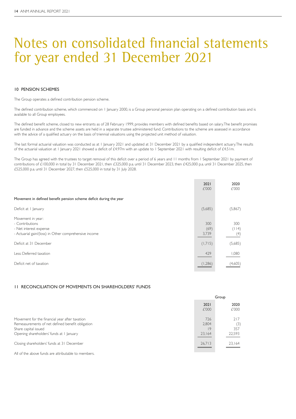#### 10 PENSION SCHEMES

The Group operates a defined contribution pension scheme.

The defined contribution scheme, which commenced on 1 January 2000, is a Group personal pension plan operating on a defined contribution basis and is available to all Group employees.

The defined benefit scheme, closed to new entrants as of 28 February 1999, provides members with defined benefits based on salary. The benefit promises are funded in advance and the scheme assets are held in a separate trustee administered fund. Contributions to the scheme are assessed in accordance with the advice of a qualified actuary on the basis of triennial valuations using the projected unit method of valuation.

The last formal actuarial valuation was conducted as at 1 January 2021 and updated at 31 December 2021 by a qualified independent actuary. The results of the actuarial valuation at 1 January 2021 showed a deficit of £4.97m with an update to 1 September 2021 with resulting deficit of £4.51m.

The Group has agreed with the trustees to target removal of this deficit over a period of 6 years and 11 months from 1 September 2021 by payment of contributions of £100,000 in total by 31 December 2021, then £325,000 p.a. until 31 December 2023, then £425,000 p.a. until 31 December 2025, then £525,000 p.a. until 31 December 2027, then £525,000 in total by 31 July 2028.

|                                                                                                                         | 2021<br>£'000        | 2020<br>£'000       |
|-------------------------------------------------------------------------------------------------------------------------|----------------------|---------------------|
| Movement in defined benefit pension scheme deficit during the year                                                      |                      |                     |
| Deficit at    anuary                                                                                                    | (5,685)              | (5,867)             |
| Movement in year:<br>- Contributions<br>- Net interest expense<br>- Actuarial gain/(loss) in Other comprehensive income | 300<br>(69)<br>3,739 | 300<br>(114)<br>(4) |
| Deficit at 31 December                                                                                                  | (1,715)              | (5,685)             |
| Less: Deferred taxation                                                                                                 | 429                  | 1,080               |
| Deficit net of taxation                                                                                                 | (1,286)              | (4,605)             |

#### 11 RECONCILIATION OF MOVEMENTS ON SHAREHOLDERS' FUNDS

|                                                                                                                                                                        | Group                        |                             |
|------------------------------------------------------------------------------------------------------------------------------------------------------------------------|------------------------------|-----------------------------|
|                                                                                                                                                                        | 2021<br>£'000                | 2020<br>£'000               |
| Movement for the financial year after taxation<br>Remeasurements of net defined benefit obligation<br>Share capital issued<br>Opening shareholders' funds at 1 January | 726<br>2,804<br>19<br>23.164 | 217<br>(3)<br>357<br>22,593 |
| Closing shareholders' funds at 31 December                                                                                                                             | 26,713                       | 23,164                      |
|                                                                                                                                                                        |                              |                             |

All of the above funds are attributable to members.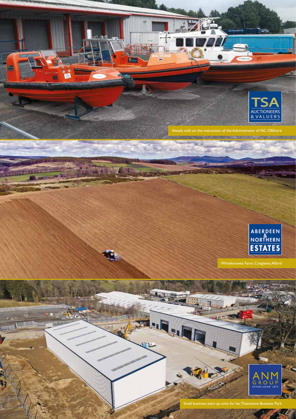

Vessels sold on the instruction of the Administrator of NC Offshore

n-

Fellon

ŋ



Whiteknowes Farm, Craigievar, Alford